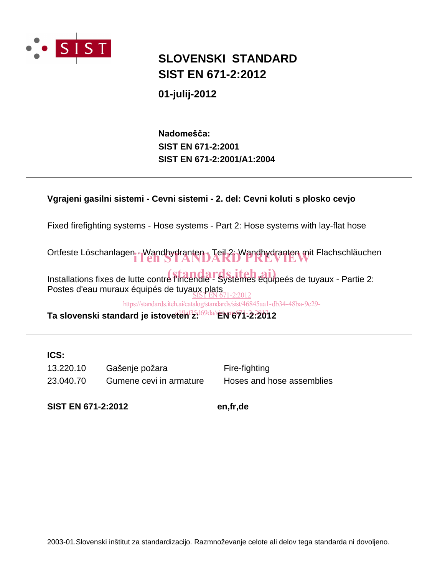

# **SIST EN 671-2:2012 SLOVENSKI STANDARD**

# **01-julij-2012**

**SIST EN 671-2:2001/A1:2004 SIST EN 671-2:2001** Nadomešča:

### **Vgrajeni gasilni sistemi - Cevni sistemi - 2. del: Cevni koluti s plosko cevjo**

Fixed firefighting systems - Hose systems - Part 2: Hose systems with lay-flat hose

Ortfeste Löschanlagen - Wandhydranten - Teil 2: Wandhydranten mit Flachschläuchen<br>
1999 - All Standard Paris II (1999)

Installations fixes de lutte contre l'incendie - Systèmes équipeés de tuyaux - Partie 2: Postes d'eau muraux équipés de tuyaux plats SIST EN 671-2:2012

https://standards.iteh.ai/catalog/standards/sist/46845aa1-db34-48ba-9c29-

**Ta slovenski standard je istoveten z: EN 671-2:2012** e19af35d69da/sist-en-671-2-2012

### **ICS:**

23.040.70 Gumene cevi in armature Hoses and hose assemblies 13.220.10 Gašenje požara Fire-fighting

**SIST EN 671-2:2012 en,fr,de**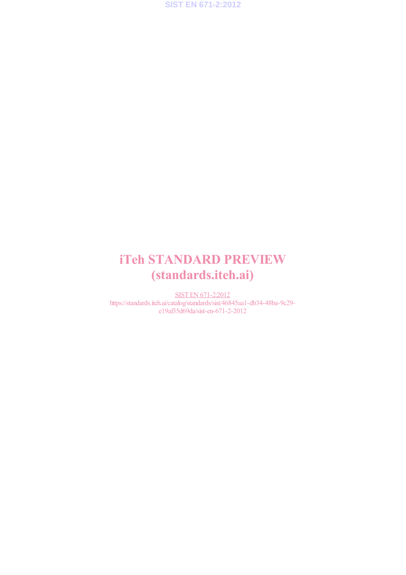**SIST EN 671-2:2012**

# iTeh STANDARD PREVIEW (standards.iteh.ai)

SIST EN 671-2:2012 https://standards.iteh.ai/catalog/standards/sist/46845aa1-db34-48ba-9c29 e19af35d69da/sist-en-671-2-2012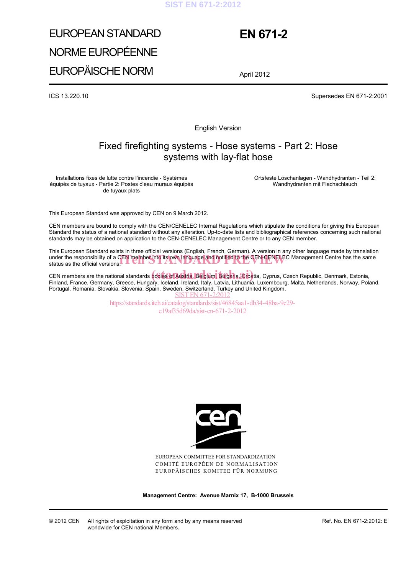#### **SIST EN 671-2:2012**

# EUROPEAN STANDARD NORME EUROPÉENNE EUROPÄISCHE NORM

# **EN 671-2**

April 2012

ICS 13.220.10 Supersedes EN 671-2:2001

English Version

### Fixed firefighting systems - Hose systems - Part 2: Hose systems with lay-flat hose

Installations fixes de lutte contre l'incendie - Systèmes équipés de tuyaux - Partie 2: Postes d'eau muraux équipés de tuyaux plats

 Ortsfeste Löschanlagen - Wandhydranten - Teil 2: Wandhydranten mit Flachschlauch

This European Standard was approved by CEN on 9 March 2012.

CEN members are bound to comply with the CEN/CENELEC Internal Regulations which stipulate the conditions for giving this European Standard the status of a national standard without any alteration. Up-to-date lists and bibliographical references concerning such national standards may be obtained on application to the CEN-CENELEC Management Centre or to any CEN member.

This European Standard exists in three official versions (English, French, German). A version in any other language made by translation under the responsibility of a CEN member into its own language and notified to the CEN-CENELEC Management Centre has the same status as the official versions. status as the official versions.

CEN members are the national standards bodies of Austria, Belgium, Bulgaria, Croatia, Cyprus, Czech Republic, Denmark, Estonia, CEN members are the national standards bodies of Austria, Belgium, Bulgaria, Croatia, Cyprus, Czech Republic, Denmark, Estonia,<br>Finland, France, Germany, Greece, Hungary, Iceland, Ireland, Italy, Latvia, Lithuania, Luxembo Portugal, Romania, Slovakia, Slovenia, Spain, Sweden, Switzerland, Turkey and United Kingdom. **SIST EN 671-2:201** 

> https://standards.iteh.ai/catalog/standards/sist/46845aa1-db34-48ba-9c29 e19af35d69da/sist-en-671-2-2012



EUROPEAN COMMITTEE FOR STANDARDIZATION COMITÉ EUROPÉEN DE NORMALISATION EUROPÄISCHES KOMITEE FÜR NORMUNG

**Management Centre: Avenue Marnix 17, B-1000 Brussels**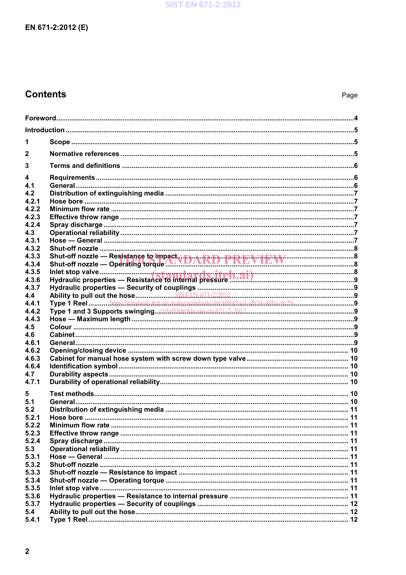## EN 671-2:2012 (E)

# **Contents**

| 1              |                                                                       |  |  |  |  |  |
|----------------|-----------------------------------------------------------------------|--|--|--|--|--|
| $\mathbf{2}$   |                                                                       |  |  |  |  |  |
| 3              |                                                                       |  |  |  |  |  |
| 4<br>4.1       |                                                                       |  |  |  |  |  |
| 4.2            |                                                                       |  |  |  |  |  |
| 4.2.1          |                                                                       |  |  |  |  |  |
| 4.2.2          |                                                                       |  |  |  |  |  |
| 4.2.3          |                                                                       |  |  |  |  |  |
| 4.2.4          |                                                                       |  |  |  |  |  |
| 4.3            |                                                                       |  |  |  |  |  |
| 4.3.1          |                                                                       |  |  |  |  |  |
| 4.3.2<br>4.3.3 | Shut-off nozzle — Resistance to impact T.D.A.D.D.D.D.D.D.A.A.I.D.A.A. |  |  |  |  |  |
| 4.3.4          | Shut-off nozzle — Operating torque AINDAKD FKEVIEW 18                 |  |  |  |  |  |
| 4.3.5          |                                                                       |  |  |  |  |  |
| 4.3.6          |                                                                       |  |  |  |  |  |
| 4.3.7          |                                                                       |  |  |  |  |  |
| 4.4            |                                                                       |  |  |  |  |  |
| 4.4.1          |                                                                       |  |  |  |  |  |
| 4.4.2          |                                                                       |  |  |  |  |  |
| 4.4.3          |                                                                       |  |  |  |  |  |
| 4.5            |                                                                       |  |  |  |  |  |
| 4.6            |                                                                       |  |  |  |  |  |
| 4.6.1          |                                                                       |  |  |  |  |  |
| 4.6.2          |                                                                       |  |  |  |  |  |
| 4.6.3          |                                                                       |  |  |  |  |  |
| 4.6.4          |                                                                       |  |  |  |  |  |
| 4.7            |                                                                       |  |  |  |  |  |
| 4.7.1          |                                                                       |  |  |  |  |  |
| 5              |                                                                       |  |  |  |  |  |
| 5.1            |                                                                       |  |  |  |  |  |
| 5.2            |                                                                       |  |  |  |  |  |
| 5.2.1          |                                                                       |  |  |  |  |  |
| 5.2.2          |                                                                       |  |  |  |  |  |
| 5.2.3          |                                                                       |  |  |  |  |  |
| 5.2.4<br>5.3   |                                                                       |  |  |  |  |  |
| 5.3.1          |                                                                       |  |  |  |  |  |
| 5.3.2          |                                                                       |  |  |  |  |  |
| 5.3.3          |                                                                       |  |  |  |  |  |
| 5.3.4          |                                                                       |  |  |  |  |  |
| 5.3.5          |                                                                       |  |  |  |  |  |
| 5.3.6          |                                                                       |  |  |  |  |  |
| 5.3.7          |                                                                       |  |  |  |  |  |
| 5.4            |                                                                       |  |  |  |  |  |
| 5.4.1          |                                                                       |  |  |  |  |  |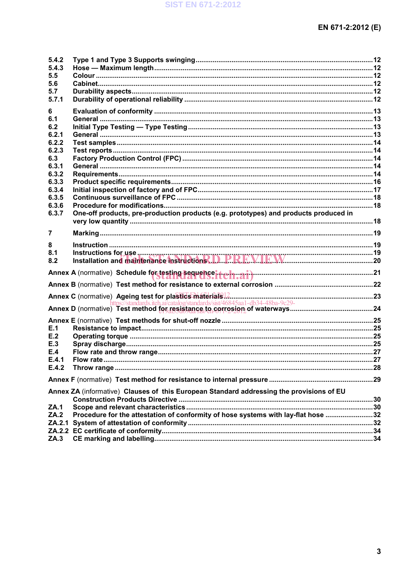| 5.4.2<br>5.4.3<br>5.5<br>5.6<br>5.7<br>5.7.1                                                                     |                                                                                          |  |
|------------------------------------------------------------------------------------------------------------------|------------------------------------------------------------------------------------------|--|
| 6<br>6.1<br>6.2<br>6.2.1<br>6.2.2<br>6.2.3<br>6.3<br>6.3.1<br>6.3.2<br>6.3.3<br>6.3.4<br>6.3.5<br>6.3.6<br>6.3.7 | One-off products, pre-production products (e.g. prototypes) and products produced in     |  |
| $\overline{7}$                                                                                                   |                                                                                          |  |
| 8<br>8.1<br>8.2                                                                                                  |                                                                                          |  |
|                                                                                                                  |                                                                                          |  |
|                                                                                                                  |                                                                                          |  |
|                                                                                                                  |                                                                                          |  |
|                                                                                                                  |                                                                                          |  |
| E.1                                                                                                              |                                                                                          |  |
| E.2                                                                                                              |                                                                                          |  |
| E.3<br>E.4                                                                                                       |                                                                                          |  |
| E.4.1                                                                                                            |                                                                                          |  |
| E.4.2                                                                                                            |                                                                                          |  |
|                                                                                                                  |                                                                                          |  |
|                                                                                                                  | Annex ZA (informative) Clauses of this European Standard addressing the provisions of EU |  |
| <b>ZA.1</b>                                                                                                      |                                                                                          |  |
| ZA.2                                                                                                             | Procedure for the attestation of conformity of hose systems with lay-flat hose 32        |  |
| <b>ZA.2.1</b>                                                                                                    |                                                                                          |  |
| ZA.3                                                                                                             |                                                                                          |  |
|                                                                                                                  |                                                                                          |  |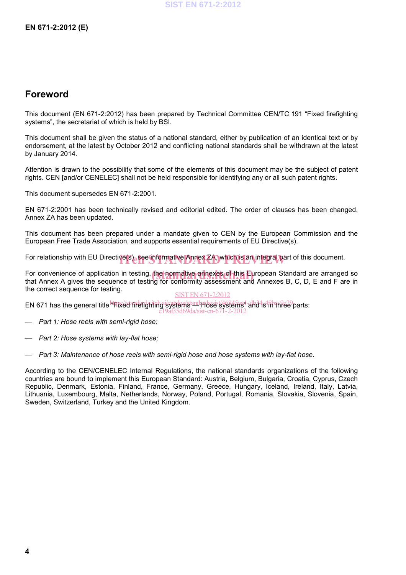### **Foreword**

This document (EN 671-2:2012) has been prepared by Technical Committee CEN/TC 191 "Fixed firefighting systems", the secretariat of which is held by BSI.

This document shall be given the status of a national standard, either by publication of an identical text or by endorsement, at the latest by October 2012 and conflicting national standards shall be withdrawn at the latest by January 2014.

Attention is drawn to the possibility that some of the elements of this document may be the subject of patent rights. CEN [and/or CENELEC] shall not be held responsible for identifying any or all such patent rights.

This document supersedes EN 671-2:2001.

EN 671-2:2001 has been technically revised and editorial edited. The order of clauses has been changed. Annex ZA has been updated.

This document has been prepared under a mandate given to CEN by the European Commission and the European Free Trade Association, and supports essential requirements of EU Directive(s).

For relationship with EU Directive(s), see informative Annex ZA, which is an integral part of this document.

For convenience of application in testing, the normative annexes of this European Standard are arranged so **Francisco CO**<br>that Annex A gives the sequence of testing for conformity assessment and Annexes B. C. D. F. and F. that Annex A gives the sequence of testing for conformity assessment and Annexes B, C, D, E and F are in the correct sequence for testing.

#### SIST EN 671-2:2012

EN 671 has the general title <sup>he</sup> the demonstration is systems and an social and is in three parts: 5d69da/sist-en-671-2-20

- *Part 1: Hose reels with semi-rigid hose;*
- *Part 2: Hose systems with lay-flat hose;*

*Part 3: Maintenance of hose reels with semi-rigid hose and hose systems with lay-flat hose*.

According to the CEN/CENELEC Internal Regulations, the national standards organizations of the following countries are bound to implement this European Standard: Austria, Belgium, Bulgaria, Croatia, Cyprus, Czech Republic, Denmark, Estonia, Finland, France, Germany, Greece, Hungary, Iceland, Ireland, Italy, Latvia, Lithuania, Luxembourg, Malta, Netherlands, Norway, Poland, Portugal, Romania, Slovakia, Slovenia, Spain, Sweden, Switzerland, Turkey and the United Kingdom.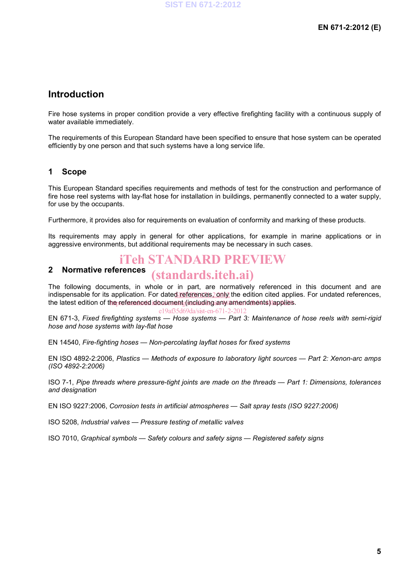### **Introduction**

Fire hose systems in proper condition provide a very effective firefighting facility with a continuous supply of water available immediately.

The requirements of this European Standard have been specified to ensure that hose system can be operated efficiently by one person and that such systems have a long service life.

### **1 Scope**

This European Standard specifies requirements and methods of test for the construction and performance of fire hose reel systems with lay-flat hose for installation in buildings, permanently connected to a water supply, for use by the occupants.

Furthermore, it provides also for requirements on evaluation of conformity and marking of these products.

Its requirements may apply in general for other applications, for example in marine applications or in aggressive environments, but additional requirements may be necessary in such cases.

# iTeh STANDARD PREVIEW

# **2 Normative references**  (standards.iteh.ai)

The following documents, in whole or in part, are normatively referenced in this document and are indispensable for its application. For dated references 2 only the edition cited applies. For undated references, the latest edition of the referenced document (including any amendments) applies.

e19af35d69da/sist-en-671-2-2012

EN 671-3, *Fixed firefighting systems — Hose systems — Part 3: Maintenance of hose reels with semi-rigid hose and hose systems with lay-flat hose* 

EN 14540, *Fire-fighting hoses — Non-percolating layflat hoses for fixed systems* 

EN ISO 4892-2:2006, *Plastics — Methods of exposure to laboratory light sources — Part 2: Xenon-arc amps (ISO 4892-2:2006)* 

ISO 7*-*1, *Pipe threads where pressure-tight joints are made on the threads — Part 1: Dimensions, tolerances and designation*

EN ISO 9227:2006, *Corrosion tests in artificial atmospheres — Salt spray tests (ISO 9227:2006)*

ISO 5208, *Industrial valves — Pressure testing of metallic valves*

ISO 7010, *Graphical symbols — Safety colours and safety signs — Registered safety signs*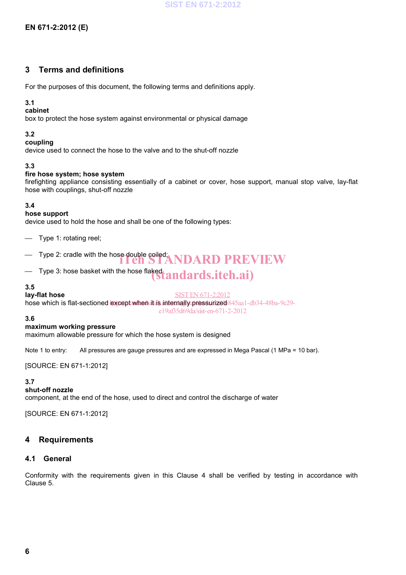#### **3 Terms and definitions**

For the purposes of this document, the following terms and definitions apply.

#### **3.1**

#### **cabinet**

box to protect the hose system against environmental or physical damage

#### **3.2**

#### **coupling**

device used to connect the hose to the valve and to the shut-off nozzle

#### **3.3**

#### **fire hose system; hose system**

firefighting appliance consisting essentially of a cabinet or cover, hose support, manual stop valve, lay-flat hose with couplings, shut-off nozzle

#### **3.4**

#### **hose support**

device used to hold the hose and shall be one of the following types:

- Type 1: rotating reel;

- Type 2: cradle with the hose double coiled; **ANDARD PREVIEW** 

 $-$  Type 3: hose basket with the hose flaked  $(andards.iteh.ai)$ 

#### **3.5**

**lay-flat hose** 

#### SIST EN 671-2:2012

hose which is flat-sectioned except when it is internally pressurized 845aa1-db34-48ba-9c29e19af35d69da/sist-en-671-2-2012

#### **3.6**

#### **maximum working pressure**

maximum allowable pressure for which the hose system is designed

Note 1 to entry: All pressures are gauge pressures and are expressed in Mega Pascal (1 MPa = 10 bar).

[SOURCE: EN 671-1:2012]

#### **3.7**

#### **shut-off nozzle**

component, at the end of the hose, used to direct and control the discharge of water

[SOURCE: EN 671-1:2012]

#### **4 Requirements**

#### **4.1 General**

Conformity with the requirements given in this Clause 4 shall be verified by testing in accordance with Clause 5.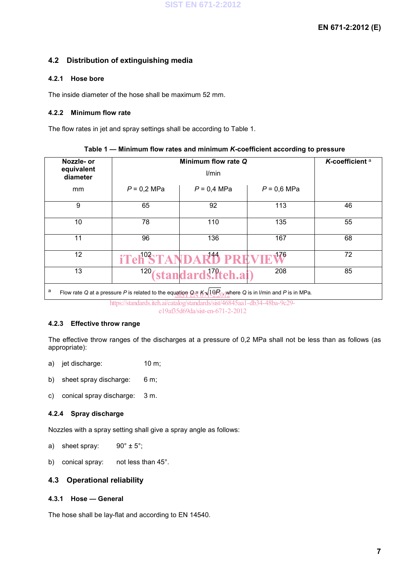#### **4.2 Distribution of extinguishing media**

#### **4.2.1 Hose bore**

The inside diameter of the hose shall be maximum 52 mm.

#### **4.2.2 Minimum flow rate**

The flow rates in jet and spray settings shall be according to Table 1.

| Nozzle- or<br>equivalent<br>diameter                                                                                            | Minimum flow rate Q | K-coefficient <sup>a</sup>                      |               |    |  |  |  |  |
|---------------------------------------------------------------------------------------------------------------------------------|---------------------|-------------------------------------------------|---------------|----|--|--|--|--|
| mm                                                                                                                              | $P = 0.2$ MPa       | $P = 0.4$ MPa                                   | $P = 0.6$ MPa |    |  |  |  |  |
| 9                                                                                                                               | 65                  | 92                                              | 113           | 46 |  |  |  |  |
| 10                                                                                                                              | 78                  | 110                                             | 135           | 55 |  |  |  |  |
| 11                                                                                                                              | 96                  | 136                                             | 167           | 68 |  |  |  |  |
| 12                                                                                                                              |                     | <b>iTeh<sup>02</sup>STANDAR11 PREVIET</b>       | $\sqrt[4]{6}$ | 72 |  |  |  |  |
| 13                                                                                                                              |                     | <sup>120</sup> (standards <sup>7</sup> /teh.ai) | 208           | 85 |  |  |  |  |
| Flow rate Q at a pressure P is related to the equation $\mathcal{Q} = K \sqrt{19B_0}$ where Q is in I/min and P is in MPa.<br>а |                     |                                                 |               |    |  |  |  |  |

**Table 1 — Minimum flow rates and minimum** *K***-coefficient according to pressure** 

https://standards.iteh.ai/catalog/standards/sist/46845aa1-db34-48ba-9c29 e19af35d69da/sist-en-671-2-2012

#### **4.2.3 Effective throw range**

The effective throw ranges of the discharges at a pressure of 0,2 MPa shall not be less than as follows (as appropriate):

- a) jet discharge: 10 m;
- b) sheet spray discharge: 6 m;
- c) conical spray discharge: 3 m.

#### **4.2.4 Spray discharge**

Nozzles with a spray setting shall give a spray angle as follows:

- a) sheet spray:  $90^\circ \pm 5^\circ$ ;
- b) conical spray: not less than 45°.

#### **4.3 Operational reliability**

#### **4.3.1 Hose — General**

The hose shall be lay-flat and according to EN 14540.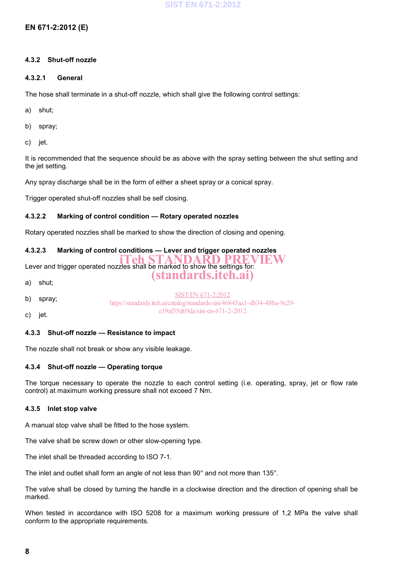#### **EN 671-2:2012 (E)**

#### **4.3.2 Shut-off nozzle**

#### **4.3.2.1 General**

The hose shall terminate in a shut-off nozzle, which shall give the following control settings:

- a) shut;
- b) spray;
- c) jet.

It is recommended that the sequence should be as above with the spray setting between the shut setting and the jet setting.

Any spray discharge shall be in the form of either a sheet spray or a conical spray.

Trigger operated shut-off nozzles shall be self closing.

#### **4.3.2.2 Marking of control condition — Rotary operated nozzles**

Rotary operated nozzles shall be marked to show the direction of closing and opening.

#### **4.3.2.3 Marking of control conditions — Lever and trigger operated nozzles**

Lever and trigger operated nozzles shall be marked to show the settings for:

- a) shut;
- 
- b) spray;

SIST EN 671-2:2012 https://standards.iteh.ai/catalog/standards/sist/46845aa1-db34-48ba-9c29 e19af35d69da/sist-en-671-2-2012

(standards.iteh.ai)

c) jet.

#### **4.3.3 Shut-off nozzle — Resistance to impact**

The nozzle shall not break or show any visible leakage.

#### **4.3.4 Shut-off nozzle — Operating torque**

The torque necessary to operate the nozzle to each control setting (i.e. operating, spray, jet or flow rate control) at maximum working pressure shall not exceed 7 Nm.

#### **4.3.5 Inlet stop valve**

A manual stop valve shall be fitted to the hose system.

The valve shall be screw down or other slow-opening type.

The inlet shall be threaded according to ISO 7-1.

The inlet and outlet shall form an angle of not less than 90° and not more than 135°.

The valve shall be closed by turning the handle in a clockwise direction and the direction of opening shall be marked.

When tested in accordance with ISO 5208 for a maximum working pressure of 1,2 MPa the valve shall conform to the appropriate requirements.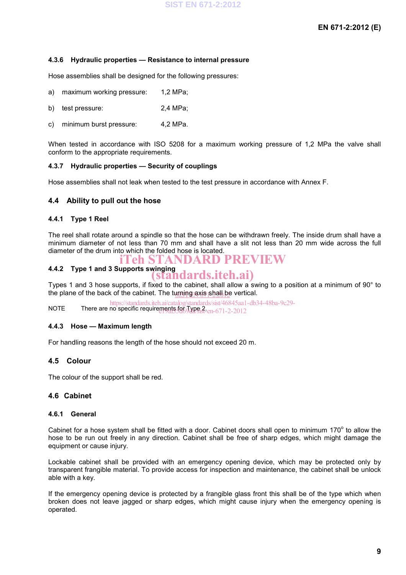#### **4.3.6 Hydraulic properties — Resistance to internal pressure**

Hose assemblies shall be designed for the following pressures:

- a) maximum working pressure: 1,2 MPa;
- b) test pressure: 2,4 MPa;
- c) minimum burst pressure: 4,2 MPa.

When tested in accordance with ISO 5208 for a maximum working pressure of 1,2 MPa the valve shall conform to the appropriate requirements.

#### **4.3.7 Hydraulic properties — Security of couplings**

Hose assemblies shall not leak when tested to the test pressure in accordance with Annex F.

#### **4.4 Ability to pull out the hose**

#### **4.4.1 Type 1 Reel**

The reel shall rotate around a spindle so that the hose can be withdrawn freely. The inside drum shall have a minimum diameter of not less than 70 mm and shall have a slit not less than 20 mm wide across the full diameter of the drum into which the folded hose is located.

# iTeh STANDARD PREVIEW

#### **4.4.2 Type 1 and 3 Supports swinging**  (standards.iteh.ai)

Types 1 and 3 hose supports, if fixed to the cabinet, shall allow a swing to a position at a minimum of 90° to the plane of the back of the cabinet. The turning axis shall be vertical.

NOTE There are no specific requirements for Jype 2.<br>
1942-071-2-2012 https://standards.iteh.ai/catalog/standards/sist/46845aa1-db34-48ba-9c29-

#### **4.4.3 Hose — Maximum length**

For handling reasons the length of the hose should not exceed 20 m.

#### **4.5 Colour**

The colour of the support shall be red.

#### **4.6 Cabinet**

#### **4.6.1 General**

Cabinet for a hose system shall be fitted with a door. Cabinet doors shall open to minimum 170 $^{\circ}$  to allow the hose to be run out freely in any direction. Cabinet shall be free of sharp edges, which might damage the equipment or cause injury.

Lockable cabinet shall be provided with an emergency opening device, which may be protected only by transparent frangible material. To provide access for inspection and maintenance, the cabinet shall be unlock able with a key.

If the emergency opening device is protected by a frangible glass front this shall be of the type which when broken does not leave jagged or sharp edges, which might cause injury when the emergency opening is operated.